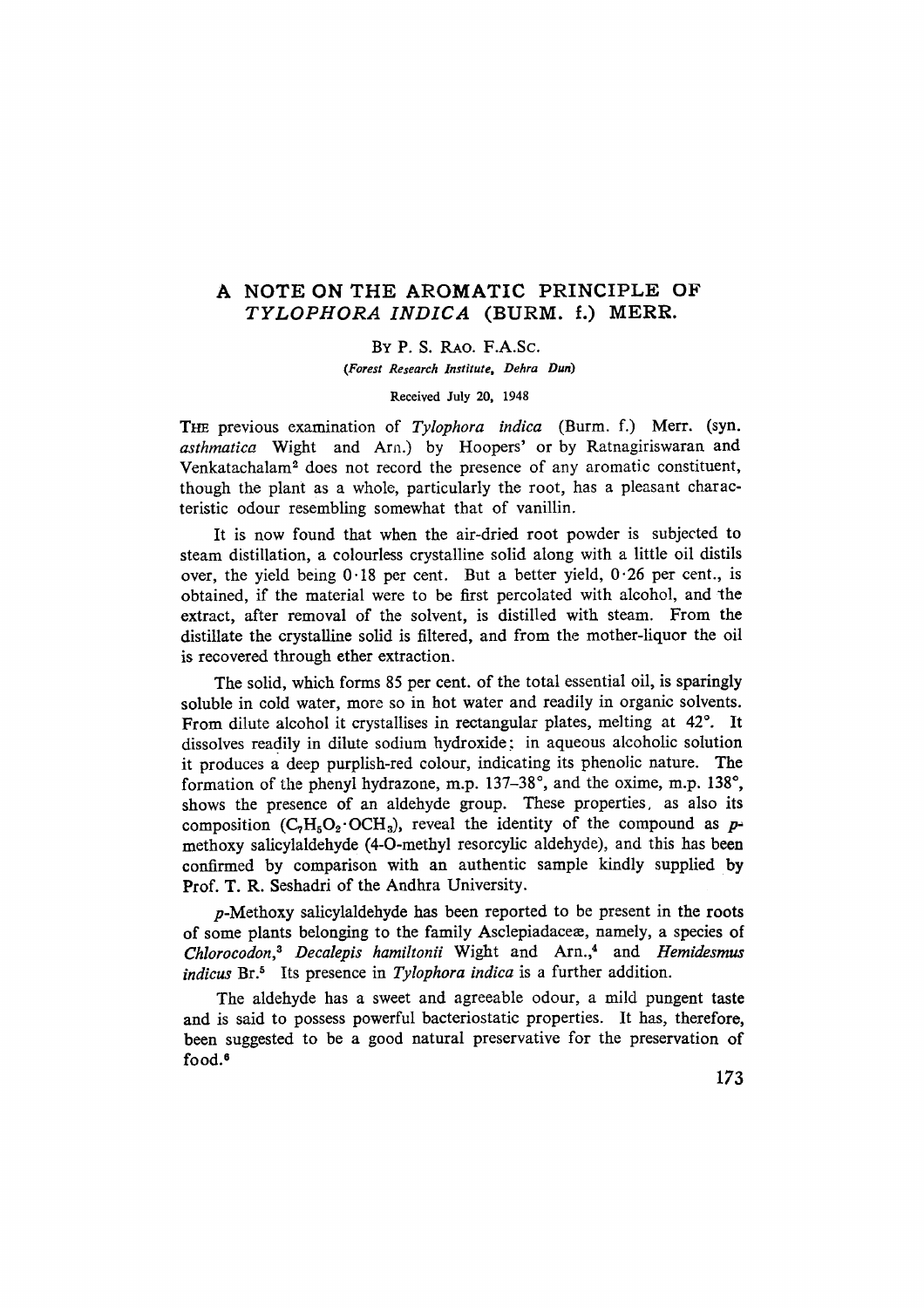## A NOTE ON THE AROMATIC PRINCIPLE OF *TYLOPHORA INDICA* (BURM. f.) MERR.

By P. S. RAo. F.A.Se.

*(Forest Research Institute. Dehra Dun)*

Received July 20, 1948

THE previous examination of *Tylophora indica* (Burm. f.) Merr. (syn. *asthmatica* Wight and Arn.) by Hoopers' or by Ratnagiriswaran and Venkatachalam" does not record the presence of any aromatic constituent, though the plant as a whole, particularly the root, has a pleasant characteristic odour resembling somewhat that of vanillin.

It is now found that when the air-dried root powder is subjected to steam distillation, a colourless crystalline solid along with a little oil distils over, the yield being  $0.18$  per cent. But a better yield,  $0.26$  per cent., is obtained, if the material were to be first percolated with alcohol, and the extract, after removal of the solvent, is distilled with steam. From the distillate the crystalline solid is filtered, and from the mother-liquor the oil is recovered through ether extraction.

The solid, which forms 85 per cent. of the total essential oil, is sparingly soluble in cold water, more so in hot water and readily in organic solvents. From dilute alcohol it crystallises in rectangular plates, melting at 42°. It dissolves readily in dilute sodium hydroxide; in aqueous alcoholic solution it produces a deep purplish-red colour, indicating its phenolic nature. The formation of the phenyl hydrazone, m.p. 137-38°, and the oxime, m.p. 138°, shows the presence of an aldehyde group. These properties. as also its composition  $(C_7H_5O_2 \cdot OCH_3)$ , reveal the identity of the compound as  $p=$ methoxy salicylaldehyde (4-0-methyl resorcylic aldehyde), and this has been confirmed by comparison with an authentic sample kindly supplied by Prof. T. R. Seshadri of the Andhra University.

*p-Methoxy* salicylaldehyde has been reported to be present in the roots of some plants belonging to the family Asclepiadaceas, namely, a species of *Chlorocodon.t Decalepis hamiltonii* Wight and Arn.,4 and *Hemidesmus indicus* Br.<sup>5</sup> Its presence in *Tylophora indica* is a further addition.

The aldehyde has a sweet and agreeable odour, a mild pungent taste and is said to possess powerful bacteriostatic properties. It has, therefore, been suggested to be a good natural preservative for the preservation of food.<sup>6</sup>